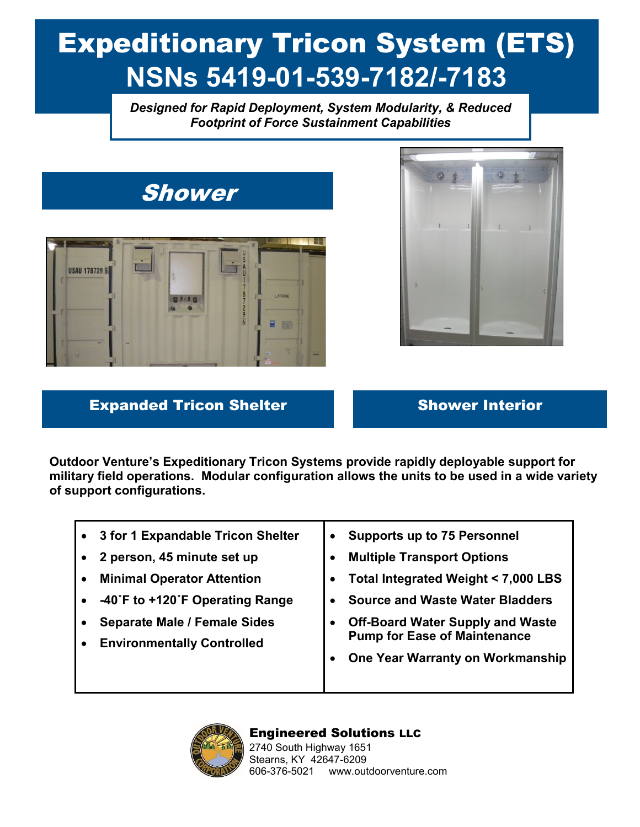# Expeditionary Tricon System (ETS) **NSNs 5419-01-539-7182/-7183**

*Designed for Rapid Deployment, System Modularity, & Reduced Footprint of Force Sustainment Capabilities*





### **Expanded Tricon Shelter Shower Interior**

**Outdoor Venture's Expeditionary Tricon Systems provide rapidly deployable support for military field operations. Modular configuration allows the units to be used in a wide variety of support configurations.** 

| 3 for 1 Expandable Tricon Shelter   | <b>Supports up to 75 Personnel</b>      |
|-------------------------------------|-----------------------------------------|
| 2 person, 45 minute set up          | <b>Multiple Transport Options</b>       |
| <b>Minimal Operator Attention</b>   | Total Integrated Weight < 7,000 LBS     |
| -40°F to +120°F Operating Range     | <b>Source and Waste Water Bladders</b>  |
| <b>Separate Male / Female Sides</b> | <b>Off-Board Water Supply and Waste</b> |
| <b>Environmentally Controlled</b>   | <b>Pump for Ease of Maintenance</b>     |
|                                     | One Year Warranty on Workmanship        |
|                                     |                                         |
|                                     |                                         |



### Engineered Solutions LLC

2740 South Highway 1651 Stearns, KY 42647-6209 606-376-5021 www.outdoorventure.com